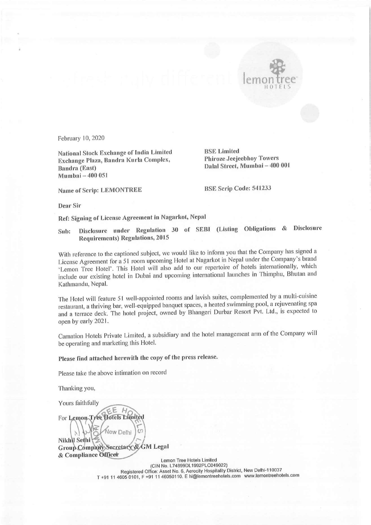

February 10, 2020

National Stock Exchange of India Limited<br>Exchange Plaza, Bandra Kurla Complex, Phiroze Jeejeebhoy Towers Exchange Plaza, Bandra Kurla Complex, Bandra (East) Dalal Street, Mumbai — 400 <sup>001</sup> Mumbai — 400 051

Name of Scrip: LEMONTREE BSE Scrip Code: 541233

Dear Sir

Ref: Signing of License Agreement in Nagarkot, Nepal

Sub; Disclosure under Regulation 30 of SEBI (Listing Obligations & Disclosure Requirements) Regulations, 2015

With reference to the captioned subject, we would like to inform you that the Company has signed <sup>a</sup> License Agreement for a 51 room upcoming Hotel at Nagarkot in Nepal under the Company's brand 'Lemon Tree Hotel'. This Hotel will also add to our repertoire of hotels internationally, which include our existing hotel in Dubai and upcoming international launches in Thimphu, Bhutan and Kathmandu, Nepal.

The Hotel will feature 51 well-appointed rooms and lavish suites, complemented by a multi-cuisine restaurant, a thriving bar, well-equipped banquet spaces, a heated swimming pool, a rejuvenating spa and a terrace deck. The hotel project, owned by Bhangeri Durbar Resort Pvt. Ltd., is expected to open by early 2021.

Carnation Hotels Private Limited, a subsidiary and the hotel management arm of the Company will be operating and marketing this Hotel.

Please find attached herewith the copy of the press release.

Please take the above intimation on record

Thanking you,

Yours faithfully

 $H$ F For Lemon-Tree Hotels Limited

New Delhi Nikhu Sethi Group Company Secretary & GM Legal & Compliance Officer

 $T + 911$ Lemon Tree Hotels Limited (CIN No. L74899DL1992PLC049022) Registered Office: Asset No. 6, Aerocity Hospitality District, New Delhi-110037 T +91 11 4605 0101, F +91 11 46050110. E hi@lemontreehotels.com www.lemontreehotels.com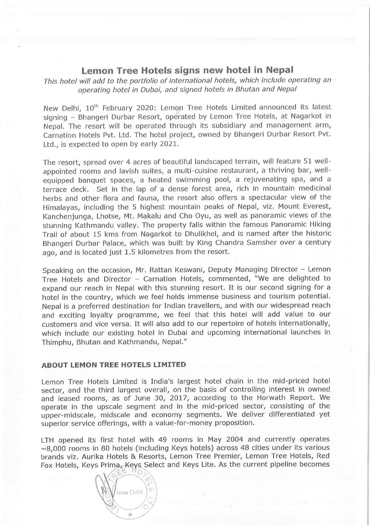## Lemon Tree Hotels signs new hotel in Nepal

This hotel will add to the portfolio of international hotels, which include operating an operating hotel in Dubai, and signed hotels in Bhutan and Nepal

New Delhi, 10<sup>th</sup> February 2020: Lemon Tree Hotels Limited announced its latest signing — Bhangeri Durbar Resort, operated by Lemon Tree Hotels, at Nagarkot in Nepal. The resort will be operated through its subsidiary and management arm, Carnation Hotels Pvt. Ltd. The hotel project, owned by Bhangeri Durbar Resort Pvt. Ltd., is expected to open by early 2021.

The resort, spread over 4 acres of beautiful landscaped terrain, will feature 51 wellappointed rooms and lavish suites, a multi-cuisine restaurant, a thriving bar, wellequipped banquet spaces, a heated swimming pool, a rejuvenating spa, and a terrace deck. Set in the lap of a dense forest area, rich in mountain medicinal herbs and other flora and fauna, the resort also offers a spectacular view of the Himalayas, including the 5 highest mountain peaks of Nepal, viz. Mount Everest, Kanchenjunga, Lhotse, Mt. Makalu and Cho Oyu, as well as panoramic views of the stunning Kathmandu valley. The property falls within the famous Panoramic Hiking Trail of about 15 kms from Nagarkot to Dhulikhel, and is named after the historic Bhangeri Durbar Palace, which was built by King Chandra Samsher over a century ago, and is located just 1.5 kilometres from the resort.

Speaking on the occasion, Mr. Rattan Keswani, Deputy Managing Director - Lemon Tree Hotels and Director - Carnation Hotels, commented, "We are delighted to expand our reach in Nepal with this stunning resort. It is our second signing for a hotel in the country, which we feel holds immense business and tourism potential. Nepal is a preferred destination for Indian travellers, and with our widespread reach and exciting loyalty programme, we feel that this hotel will add value to our customers and vice versa. It will also add to our repertoire of hotels internationally, which include our existing hotel in Dubai and upcoming international launches in Thimphu, Bhutan and Kathmandu, Nepal."

ĵ.

## ABOUT LEMON TREE HOTELS LIMITED

Lemon Tree Hotels Limited is India's largest hotel chain in the mid-priced hotel sector, and the third largest overall, on the basis of controlling interest in owned and leased rooms, as of June 30, 2017, according to the Horwath Report. We operate in the upscale segment and in the mid-priced sector, consisting of the upper-midscale, midscale and economy segments. We deliver differentiated yet superior service offerings, with a value-for-money proposition.

LTH opened its first hotel with 49 rooms in May 2004 and currently operates  $\sim$ 8,000 rooms in 80 hotels (including Keys hotels) across 48 cities under its various brands viz. Aurika Hotels & Resorts, Lemon Tree Premier, Lemon Tree Hotels, Red Fox Hotels, Keys Prima, Keys Select and Keys Lite. As the current pipeline becomes

New Delhi  $\frac{1}{2}$